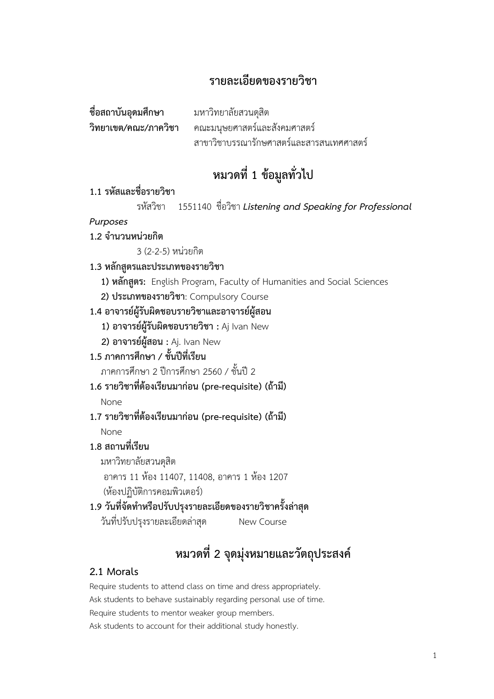## **รายละเอียดของรายวิชา**

| ชื่อสถาบันอุดมศึกษา  | มหาวิทยาลัยสวนดุสิต                      |
|----------------------|------------------------------------------|
| วิทยาเขต/คณะ/ภาควิชา | คณะมนุษยศาสตร์และสังคมศาสตร์             |
|                      | สาขาวิชาบรรณารักษศาสตร์และสารสนเทศศาสตร์ |

## **หมวดที่ 1 ข้อมูลทั่วไป**

## **1.1 รหัสและชื่อรายวิชา**

รหัสวิชา 1551140 ชื่อวิชา *Listening and Speaking for Professional* 

### *Purposes*

### **1.2 จ านวนหน่วยกิต**

3 (2-2-5) หน่วยกิต

## **1.3 หลักสูตรและประเภทของรายวิชา**

**1) หลักสูตร:** English Program, Faculty of Humanities and Social Sciences

**2) ประเภทของรายวิชา**: Compulsory Course

### **1.4 อาจารย์ผู้รับผิดชอบรายวิชาและอาจารย์ผู้สอน**

- **1) อาจารย์ผู้รับผิดชอบรายวิชา :** Aj Ivan New
- **2) อาจารย์ผู้สอน :** Aj. Ivan New

## **1.5 ภาคการศึกษา / ชั้นปีที่เรียน**

ภาคการศึกษา 2 ปีการศึกษา 2560 / ชั้นปี 2

**1.6 รายวิชาที่ต้องเรียนมาก่อน (pre-requisite) (ถ้ามี)**

None

**1.7 รายวิชาที่ต้องเรียนมาก่อน (pre-requisite) (ถ้ามี)**

None

## **1.8 สถานที่เรียน**

มหาวิทยาลัยสวนดุสิต

อาคาร 11 ห้อง 11407, 11408, อาคาร 1 ห้อง 1207 (ห้องปฏิบัติการคอมพิวเตอร์)

## **1.9 วันที่จัดท าหรือปรับปรุงรายละเอียดของรายวิชาครั้งล่าสุด**

วันที่ปรับปรุงรายละเอียดล่าสุด New Course

# **หมวดที่ 2 จุดมุ่งหมายและวัตถุประสงค์**

## **2.1 Morals**

Require students to attend class on time and dress appropriately. Ask students to behave sustainably regarding personal use of time. Require students to mentor weaker group members. Ask students to account for their additional study honestly.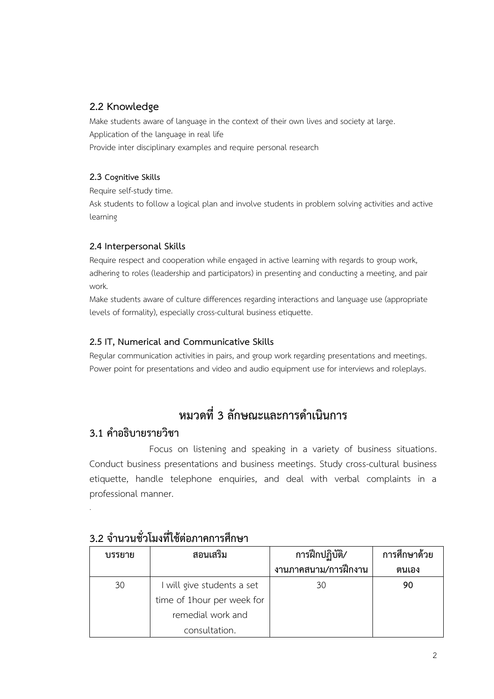### **2.2 Knowledge**

Make students aware of language in the context of their own lives and society at large. Application of the language in real life Provide inter disciplinary examples and require personal research

#### **2.3 Cognitive Skills**

Require self-study time.

Ask students to follow a logical plan and involve students in problem solving activities and active learning

#### **2.4 Interpersonal Skills**

Require respect and cooperation while engaged in active learning with regards to group work, adhering to roles (leadership and participators) in presenting and conducting a meeting, and pair work.

Make students aware of culture differences regarding interactions and language use (appropriate levels of formality), especially cross-cultural business etiquette.

### **2.5 IT, Numerical and Communicative Skills**

Regular communication activities in pairs, and group work regarding presentations and meetings. Power point for presentations and video and audio equipment use for interviews and roleplays.

# **หมวดที่3 ลักษณะและการด าเนินการ**

## **3.1 ค าอธิบายรายวิชา**

.

Focus on listening and speaking in a variety of business situations. Conduct business presentations and business meetings. Study cross-cultural business etiquette, handle telephone enquiries, and deal with verbal complaints in a professional manner.

| บรรยาย | สอนเสริม                    | การฝึกปฏิบัติ/       | การศึกษาด้วย |
|--------|-----------------------------|----------------------|--------------|
|        |                             | งานภาคสนาม/การฝึกงาน | ตนเอง        |
| 30     | I will give students a set  | 30                   | 90           |
|        | time of 1 hour per week for |                      |              |
|        | remedial work and           |                      |              |
|        | consultation.               |                      |              |

## **3.2 จ านวนชั่วโมงที่ใช้ต่อภาคการศึกษา**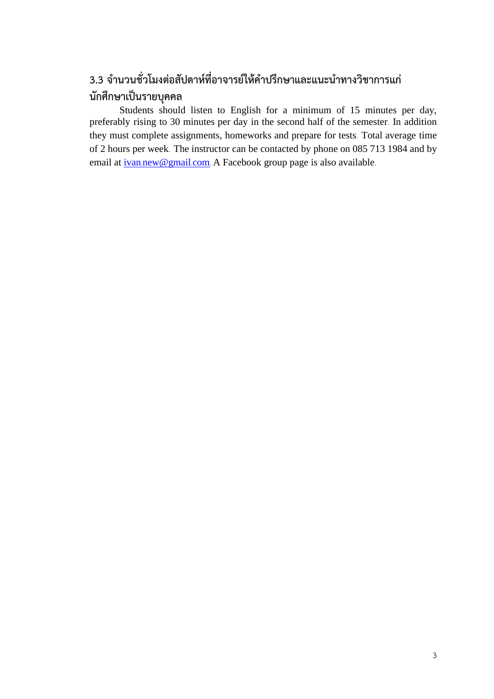# **3.3 จ านวนชั่วโมงต่อสัปดาห์ที่อาจารย์ให้ค าปรึกษาและแนะน าทางวิชาการแก่ นักศึกษาเป็นรายบุคคล**

Students should listen to English for a minimum of 15 minutes per day, preferably rising to 30 minutes per day in the second half of the semester. In addition they must complete assignments, homeworks and prepare for tests. Total average time of 2 hours per week. The instructor can be contacted by phone on 085 713 1984 and by email at ivan.[new@gmail](mailto:ivan.new@gmail.com).com. A Facebook group page is also available.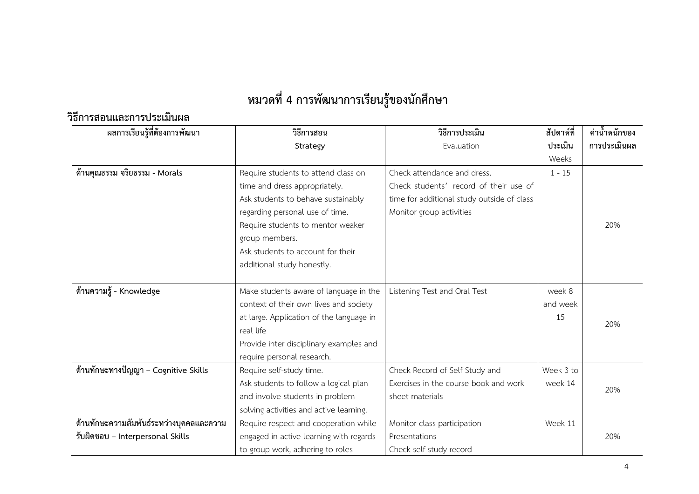# **หมวดที่4 การพัฒนาการเรียนรู้ของนักศึกษา**

**วิธีการสอนและการประเมินผล**

| ผลการเรียนรู้ที่ต้องการพัฒนา             | วิธีการสอน                               | วิธีการประเมิน                             | สัปดาห์ที่ | ค่าน้ำหนักของ |
|------------------------------------------|------------------------------------------|--------------------------------------------|------------|---------------|
|                                          | Strategy                                 | Evaluation                                 | ประเมิน    | การประเมินผล  |
|                                          |                                          |                                            | Weeks      |               |
| ด้านคุณธรรม จริยธรรม - Morals            | Require students to attend class on      | Check attendance and dress.                | $1 - 15$   |               |
|                                          | time and dress appropriately.            | Check students' record of their use of     |            |               |
|                                          | Ask students to behave sustainably       | time for additional study outside of class |            |               |
|                                          | regarding personal use of time.          | Monitor group activities                   |            |               |
|                                          | Require students to mentor weaker        |                                            |            | 20%           |
|                                          | group members.                           |                                            |            |               |
|                                          | Ask students to account for their        |                                            |            |               |
|                                          | additional study honestly.               |                                            |            |               |
|                                          |                                          |                                            |            |               |
| ้ด้านความรู้ - Knowledge                 | Make students aware of language in the   | Listening Test and Oral Test               | week 8     |               |
|                                          | context of their own lives and society   |                                            | and week   |               |
|                                          | at large. Application of the language in |                                            | 15         | 20%           |
|                                          | real life                                |                                            |            |               |
|                                          | Provide inter disciplinary examples and  |                                            |            |               |
|                                          | require personal research.               |                                            |            |               |
| ด้านทักษะทางปัญญา – Cognitive Skills     | Require self-study time.                 | Check Record of Self Study and             | Week 3 to  |               |
|                                          | Ask students to follow a logical plan    | Exercises in the course book and work      | week 14    | 20%           |
|                                          | and involve students in problem          | sheet materials                            |            |               |
|                                          | solving activities and active learning.  |                                            |            |               |
| ด้านทักษะความสัมพันธ์ระหว่างบุคคลและความ | Require respect and cooperation while    | Monitor class participation                | Week 11    |               |
| รับผิดชอบ – Interpersonal Skills         | engaged in active learning with regards  | Presentations                              |            | 20%           |
|                                          | to group work, adhering to roles         | Check self study record                    |            |               |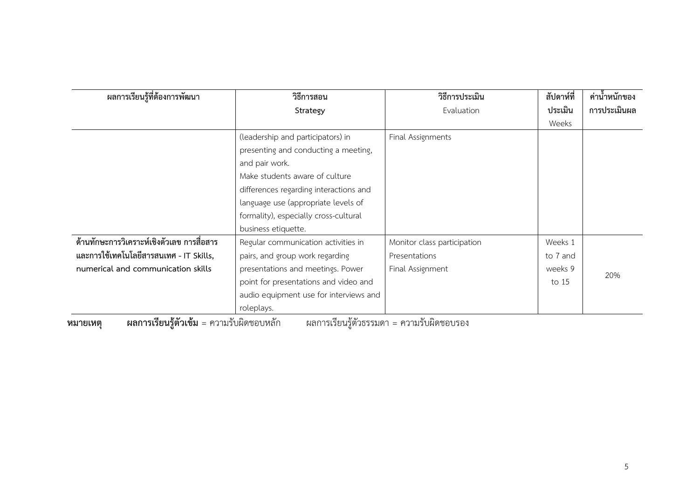| ผลการเรียนรู้ที่ต้องการพัฒนา               | วิธีการสอน                             | วิธีการประเมิน              | สัปดาห์ที่ | ค่าน้ำหนักของ |
|--------------------------------------------|----------------------------------------|-----------------------------|------------|---------------|
|                                            | Strategy                               | Evaluation                  | ประเมิน    | การประเมินผล  |
|                                            |                                        |                             | Weeks      |               |
|                                            | (leadership and participators) in      | Final Assignments           |            |               |
|                                            | presenting and conducting a meeting,   |                             |            |               |
|                                            | and pair work.                         |                             |            |               |
|                                            | Make students aware of culture         |                             |            |               |
|                                            | differences regarding interactions and |                             |            |               |
|                                            | language use (appropriate levels of    |                             |            |               |
|                                            | formality), especially cross-cultural  |                             |            |               |
|                                            | business etiquette.                    |                             |            |               |
| ด้านทักษะการวิเคราะห์เชิงตัวเลข การสื่อสาร | Regular communication activities in    | Monitor class participation | Weeks 1    |               |
| และการใช้เทคโนโลยีสารสนเทศ - IT Skills,    | pairs, and group work regarding        | Presentations               | to 7 and   |               |
| numerical and communication skills         | presentations and meetings. Power      | Final Assignment            | weeks 9    | 20%           |
|                                            | point for presentations and video and  |                             | to 15      |               |
|                                            | audio equipment use for interviews and |                             |            |               |
|                                            | roleplays.                             |                             |            |               |

**หมายเหตุ ผลการเรียนรู้ตัวเข้ม** = ความรับผิดชอบหลัก ผลการเรียนรู้ตัวธรรมดา = ความรับผิดชอบรอง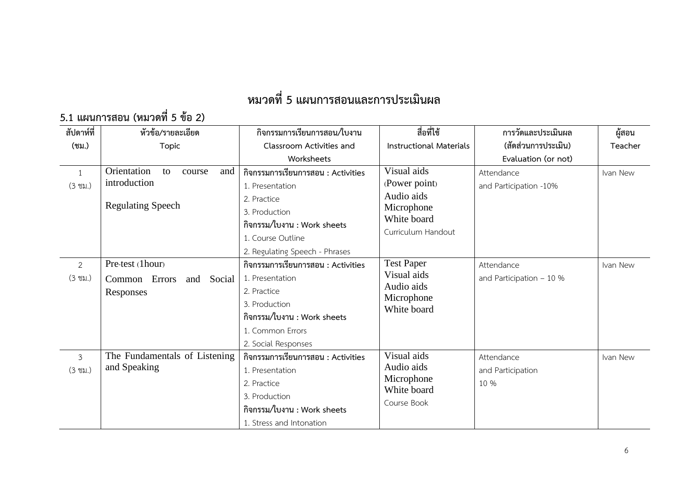# **หมวดที่5 แผนการสอนและการประเมินผล**

# **5.1 แผนการสอน (หมวดที่ 5 ข้อ 2)**

| สัปดาห์ที่        | หัวข้อ/รายละเอียด                  | กิจกรรมการเรียนการสอน/ใบงาน        | สื่อที่ใช้                     | การวัดและประเมินผล       | ผู้สอน   |
|-------------------|------------------------------------|------------------------------------|--------------------------------|--------------------------|----------|
| (ชม.)             | Topic                              | Classroom Activities and           | <b>Instructional Materials</b> | (สัดส่วนการประเมิน)      | Teacher  |
|                   |                                    | Worksheets                         |                                | Evaluation (or not)      |          |
| $\mathbf{1}$      | Orientation<br>to<br>and<br>course | กิจกรรมการเรียนการสอน : Activities | Visual aids                    | Attendance               | Ivan New |
| $(3 \text{ vi.})$ | introduction                       | 1. Presentation                    | (Power point)                  | and Participation -10%   |          |
|                   |                                    | 2. Practice                        | Audio aids                     |                          |          |
|                   | <b>Regulating Speech</b>           | 3. Production                      | Microphone                     |                          |          |
|                   |                                    | กิจกรรม/ใบงาน : Work sheets        | White board                    |                          |          |
|                   |                                    | 1. Course Outline                  | Curriculum Handout             |                          |          |
|                   |                                    | 2. Regulating Speech - Phrases     |                                |                          |          |
| $\overline{2}$    | Pre-test (1hour)                   | กิจกรรมการเรียนการสอน : Activities | <b>Test Paper</b>              | Attendance               | Ivan New |
| $(3 \text{ vi.})$ | Common Errors<br>and Social        | 1. Presentation                    | Visual aids                    | and Participation $-10%$ |          |
|                   | Responses                          | 2. Practice                        | Audio aids                     |                          |          |
|                   |                                    | 3. Production                      | Microphone<br>White board      |                          |          |
|                   |                                    | กิจกรรม/ใบงาน : Work sheets        |                                |                          |          |
|                   |                                    | 1. Common Errors                   |                                |                          |          |
|                   |                                    | 2. Social Responses                |                                |                          |          |
| $\mathfrak{Z}$    | The Fundamentals of Listening      | กิจกรรมการเรียนการสอน : Activities | Visual aids                    | Attendance               | Ivan New |
| $(3 \text{ vi.})$ | and Speaking                       | 1. Presentation                    | Audio aids                     | and Participation        |          |
|                   |                                    | 2. Practice                        | Microphone<br>White board      | 10 %                     |          |
|                   |                                    | 3. Production                      | Course Book                    |                          |          |
|                   |                                    | กิจกรรม/ใบงาน : Work sheets        |                                |                          |          |
|                   |                                    | 1. Stress and Intonation           |                                |                          |          |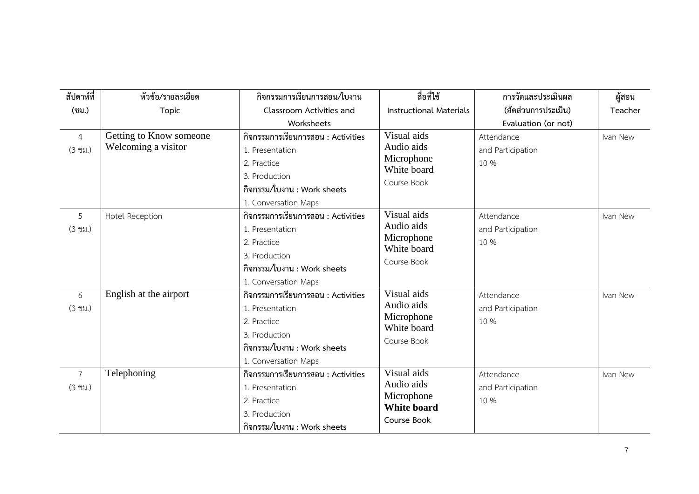| สัปดาห์ที่                          | หัวข้อ/รายละเอียด                              | กิจกรรมการเรียนการสอน/ใบงาน                                                                                                                  | สื่อที่ใช้                                                                   | การวัดและประเมินผล                      | ผู้สอน   |
|-------------------------------------|------------------------------------------------|----------------------------------------------------------------------------------------------------------------------------------------------|------------------------------------------------------------------------------|-----------------------------------------|----------|
| (ชม.)                               | Topic                                          | Classroom Activities and                                                                                                                     | <b>Instructional Materials</b>                                               | (สัดส่วนการประเมิน)                     | Teacher  |
|                                     |                                                | Worksheets                                                                                                                                   |                                                                              | Evaluation (or not)                     |          |
| $\overline{4}$<br>$(3 \text{ vi.})$ | Getting to Know someone<br>Welcoming a visitor | กิจกรรมการเรียนการสอน : Activities<br>1. Presentation<br>2. Practice<br>3. Production<br>กิจกรรม/ใบงาน : Work sheets<br>1. Conversation Maps | Visual aids<br>Audio aids<br>Microphone<br>White board<br>Course Book        | Attendance<br>and Participation<br>10 % | Ivan New |
| 5<br>$(3 \text{ vi.})$              | <b>Hotel Reception</b>                         | กิจกรรมการเรียนการสอน : Activities<br>1. Presentation<br>2. Practice<br>3. Production<br>กิจกรรม/ใบงาน : Work sheets<br>1. Conversation Maps | Visual aids<br>Audio aids<br>Microphone<br>White board<br>Course Book        | Attendance<br>and Participation<br>10 % | Ivan New |
| 6<br>$(3 \text{ vi.})$              | English at the airport                         | กิจกรรมการเรียนการสอน : Activities<br>1. Presentation<br>2. Practice<br>3. Production<br>กิจกรรม/ใบงาน : Work sheets<br>1. Conversation Maps | Visual aids<br>Audio aids<br>Microphone<br>White board<br>Course Book        | Attendance<br>and Participation<br>10 % | Ivan New |
| $\overline{7}$<br>$(3 \text{ vi.})$ | Telephoning                                    | กิจกรรมการเรียนการสอน : Activities<br>1. Presentation<br>2. Practice<br>3. Production<br>กิจกรรม/ใบงาน : Work sheets                         | Visual aids<br>Audio aids<br>Microphone<br><b>White board</b><br>Course Book | Attendance<br>and Participation<br>10 % | Ivan New |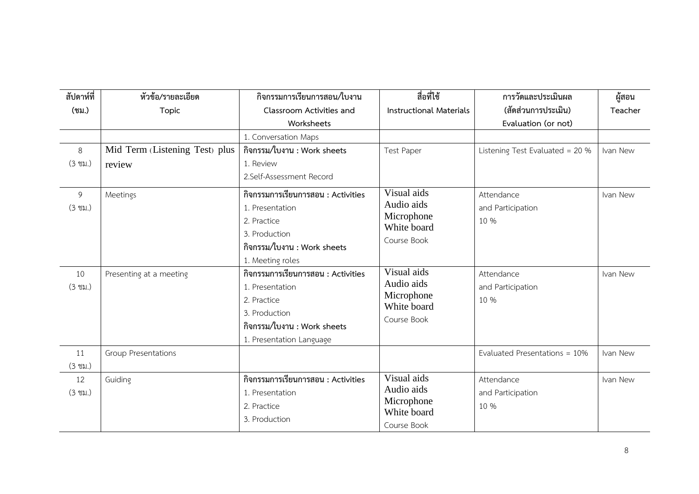| สัปดาห์ที่        | หัวข้อ/รายละเอียด              | กิจกรรมการเรียนการสอน/ใบงาน                            | สื่อที่ใช้                     | การวัดและประเมินผล              | ผู้สอน   |
|-------------------|--------------------------------|--------------------------------------------------------|--------------------------------|---------------------------------|----------|
| (ชม.)             | Topic                          | Classroom Activities and                               | <b>Instructional Materials</b> | (สัดส่วนการประเมิน)             | Teacher  |
|                   |                                | Worksheets                                             |                                | Evaluation (or not)             |          |
|                   |                                | 1. Conversation Maps                                   |                                |                                 |          |
| 8                 | Mid Term (Listening Test) plus | กิจกรรม/ใบงาน : Work sheets                            | <b>Test Paper</b>              | Listening Test Evaluated = 20 % | Ivan New |
| $(3 \text{ vi.})$ | review                         | 1. Review                                              |                                |                                 |          |
|                   |                                | 2.Self-Assessment Record                               |                                |                                 |          |
| 9                 | Meetings                       | กิจกรรมการเรียนการสอน : Activities                     | Visual aids<br>Audio aids      | Attendance                      | Ivan New |
| $(3 \text{ vi.})$ |                                | 1. Presentation                                        | Microphone                     | and Participation               |          |
|                   |                                | 2. Practice                                            | White board                    | 10 %                            |          |
|                   |                                | 3. Production<br>กิจกรรม/ใบงาน : Work sheets           | Course Book                    |                                 |          |
|                   |                                |                                                        |                                |                                 |          |
| 10                | Presenting at a meeting        | 1. Meeting roles<br>กิจกรรมการเรียนการสอน : Activities | Visual aids                    | Attendance                      | Ivan New |
| $(3 \text{ vi.})$ |                                | 1. Presentation                                        | Audio aids                     | and Participation               |          |
|                   |                                | 2. Practice                                            | Microphone                     | 10 %                            |          |
|                   |                                | 3. Production                                          | White board                    |                                 |          |
|                   |                                | กิจกรรม/ใบงาน : Work sheets                            | Course Book                    |                                 |          |
|                   |                                | 1. Presentation Language                               |                                |                                 |          |
| 11                | Group Presentations            |                                                        |                                | Evaluated Presentations = 10%   | Ivan New |
| $(3 \text{ vi.})$ |                                |                                                        |                                |                                 |          |
| 12                | Guiding                        | กิจกรรมการเรียนการสอน : Activities                     | Visual aids                    | Attendance                      | Ivan New |
| $(3 \text{ vi.})$ |                                | 1. Presentation                                        | Audio aids                     | and Participation               |          |
|                   |                                | 2. Practice                                            | Microphone<br>White board      | 10 %                            |          |
|                   |                                | 3. Production                                          | Course Book                    |                                 |          |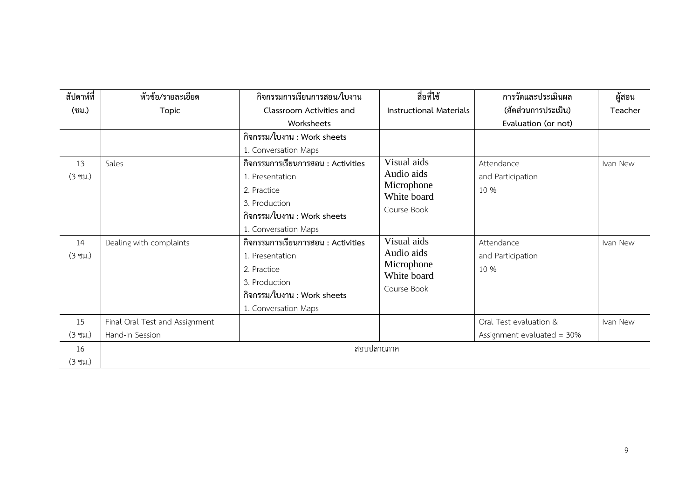| สัปดาห์ที่              | หัวข้อ/รายละเอียด              | กิจกรรมการเรียนการสอน/ใบงาน                                                                                                                  | สื่อที่ใช้                                                            | การวัดและประเมินผล                      | ผู้สอน   |
|-------------------------|--------------------------------|----------------------------------------------------------------------------------------------------------------------------------------------|-----------------------------------------------------------------------|-----------------------------------------|----------|
| (ชม.)                   | Topic                          | Classroom Activities and                                                                                                                     | <b>Instructional Materials</b>                                        | (สัดส่วนการประเมิน)                     | Teacher  |
|                         |                                | Worksheets                                                                                                                                   |                                                                       | Evaluation (or not)                     |          |
|                         |                                | กิจกรรม/ใบงาน : Work sheets                                                                                                                  |                                                                       |                                         |          |
|                         |                                | 1. Conversation Maps                                                                                                                         |                                                                       |                                         |          |
| 13                      | Sales                          | กิจกรรมการเรียนการสอน : Activities                                                                                                           | Visual aids                                                           | Attendance                              | Ivan New |
| $(3 \text{ vi.})$       |                                | 1. Presentation                                                                                                                              | Audio aids                                                            | and Participation                       |          |
|                         |                                | 2. Practice                                                                                                                                  | Microphone                                                            | 10 %                                    |          |
|                         |                                | 3. Production                                                                                                                                | White board                                                           |                                         |          |
|                         |                                | กิจกรรม/ใบงาน : Work sheets                                                                                                                  | Course Book                                                           |                                         |          |
|                         |                                | 1. Conversation Maps                                                                                                                         |                                                                       |                                         |          |
| 14<br>$(3 \text{ vi.})$ | Dealing with complaints        | กิจกรรมการเรียนการสอน : Activities<br>1. Presentation<br>2. Practice<br>3. Production<br>กิจกรรม/ใบงาน : Work sheets<br>1. Conversation Maps | Visual aids<br>Audio aids<br>Microphone<br>White board<br>Course Book | Attendance<br>and Participation<br>10 % | Ivan New |
| 15                      | Final Oral Test and Assignment |                                                                                                                                              |                                                                       | Oral Test evaluation &                  | Ivan New |
| $(3 \text{ vi.})$       | Hand-In Session                |                                                                                                                                              |                                                                       | Assignment evaluated = 30%              |          |
| 16<br>$(3 \text{ }}1)$  |                                | สอบปลายภาค                                                                                                                                   |                                                                       |                                         |          |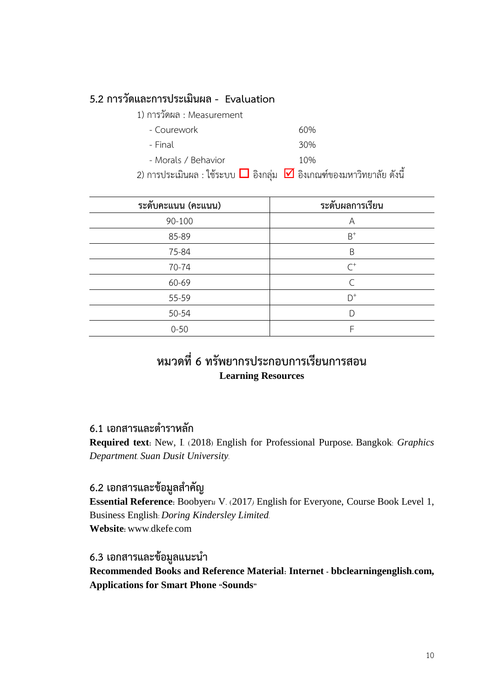## **5.2 การวัดและการประเมินผล - Evaluation**

| 1) การวัดผล : Measurement |     |
|---------------------------|-----|
| - Courework               | 60% |
| - Final                   | 30% |
| - Morals / Behavior       | 10% |

2) การประเมินผล : ใช้ระบบ  $\Box$  อิงกลุ่ม  $\Box$  อิงเกณฑ์ของมหาวิทยาลัย ดังนี้

| ระดับคะแนน (คะแ <u>นน)</u> | ระดับผลการเรียน |
|----------------------------|-----------------|
| 90-100                     | Α               |
| 85-89                      | $B^+$           |
| 75-84                      | B               |
| 70-74                      | $\mathcal{C}^+$ |
| 60-69                      | $\subset$       |
| 55-59                      | $D^+$           |
| 50-54                      | D               |
| $0 - 50$                   | F               |

## **หมวดที่6 ทรัพยากรประกอบการเรียนการสอน Learning Resources**

## **6.1 เอกสารและต าราหลัก**

**Required text:** New, I. (2018) English for Professional Purpose**.** Bangkok: *Graphics Department. Suan Dusit University.*

### **6.2 เอกสารและข้อมูลส าคัญ**

**Essential Reference:** Boobyerม V. (2017*)* English for Everyone, Course Book Level 1, Business English: *Doring Kindersley Limited.* **Website:** www.dkefe.com

### **6.3 เอกสารและข้อมูลแนะน า**

**Recommended Books and Reference Material: Internet - bbclearningenglish.com, Applications for Smart Phone "Sounds"**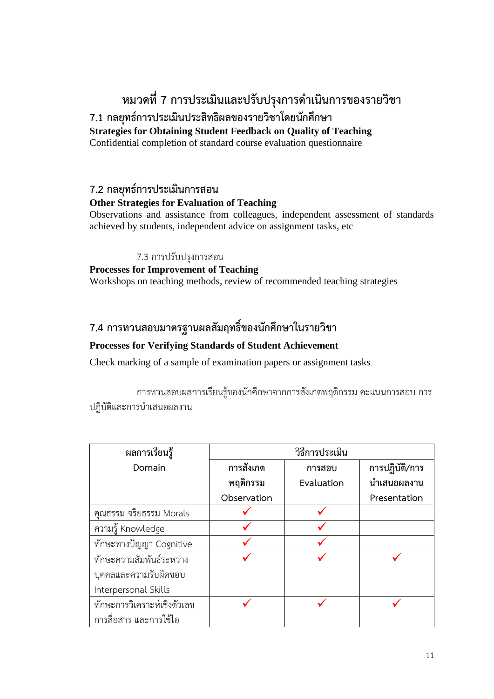# **หมวดที่7 การประเมินและปรับปรุงการด าเนินการของรายวิชา**

## **7.1 กลยุทธ์การประเมินประสิทธิผลของรายวิชาโดยนักศึกษา Strategies for Obtaining Student Feedback on Quality of Teaching**

Confidential completion of standard course evaluation questionnaire.

## **7.2 กลยุทธ์การประเมินการสอน**

### **Other Strategies for Evaluation of Teaching**

Observations and assistance from colleagues, independent assessment of standards achieved by students, independent advice on assignment tasks, etc.

#### 7.3 การปรับปรุงการสอน

### **Processes for Improvement of Teaching**

Workshops on teaching methods, review of recommended teaching strategies.

## **7.4 การทวนสอบมาตรฐานผลสัมฤทธิ์ของนักศึกษาในรายวิชา**

### **Processes for Verifying Standards of Student Achievement**

Check marking of a sample of examination papers or assignment tasks.

การทวนสอบผลการเรียนรู้ของนักศึกษาจากการสังเกตพฤติกรรม คะแนนการสอบ การ ปฏิบัติและการนำเสนอผลงาน

| ผลการเรียนรู้               | วิธีการประเมิน |            |                |  |
|-----------------------------|----------------|------------|----------------|--|
| Domain                      | การสังเกต      | การสอบ     | การปฏิบัติ/การ |  |
|                             | พฤติกรรม       | Evaluation | นำเสนอผลงาน    |  |
|                             | Observation    |            | Presentation   |  |
| คุณธรรม จริยธรรม Morals     |                |            |                |  |
| ความรู้ Knowledge           |                |            |                |  |
| ทักษะทางปัญญา Cognitive     |                |            |                |  |
| ทักษะความสัมพันธ์ระหว่าง    |                |            |                |  |
| บุคคลและความรับผิดชอบ       |                |            |                |  |
| Interpersonal Skills        |                |            |                |  |
| ทักษะการวิเคราะห์เชิงตัวเลข |                |            |                |  |
| การสื่อสาร และการใช้ไอ      |                |            |                |  |